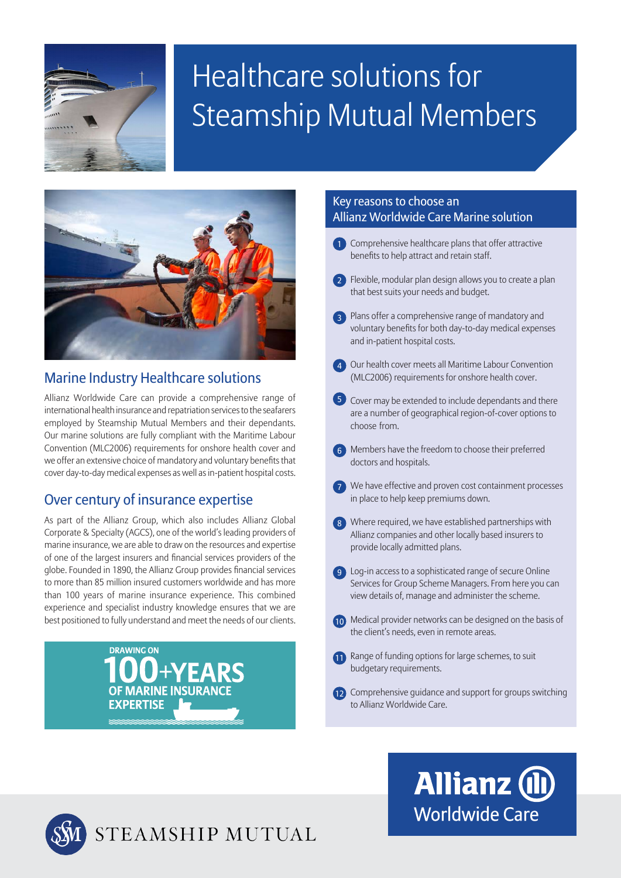

## Healthcare solutions for Steamship Mutual Members



#### Marine Industry Healthcare solutions

Allianz Worldwide Care can provide a comprehensive range of international health insurance and repatriation services to the seafarers employed by Steamship Mutual Members and their dependants. Our marine solutions are fully compliant with the Maritime Labour Convention (MLC2006) requirements for onshore health cover and we offer an extensive choice of mandatory and voluntary benefits that cover day-to-day medical expenses as well as in-patient hospital costs.

#### Over century of insurance expertise

As part of the Allianz Group, which also includes Allianz Global Corporate & Specialty (AGCS), one of the world's leading providers of marine insurance, we are able to draw on the resources and expertise of one of the largest insurers and financial services providers of the globe. Founded in 1890, the Allianz Group provides financial services to more than 85 million insured customers worldwide and has more to more than 85 million insured customers wondwide and has more than 100 years of marine insurance experience. This combined experience and specialist industry knowledge ensures that we are best positioned to fully understand and meet the needs of our clients.



#### Key reasons to choose an Allianz Worldwide Care Marine solution

- **1** Comprehensive healthcare plans that offer attractive benefits to help attract and retain staff.
- 2) Flexible, modular plan design allows you to create a plan that best suits your needs and budget.
- 3 Plans offer a comprehensive range of mandatory and voluntary benefits for both day-to-day medical expenses and in-patient hospital costs.
- 4 Our health cover meets all Maritime Labour Convention (MLC2006) requirements for onshore health cover.
- 5 Cover may be extended to include dependants and there are a number of geographical region-of-cover options to choose from.
- 6 Members have the freedom to choose their preferred doctors and hospitals.
- 7 We have effective and proven cost containment processes in place to help keep premiums down.
- 8 Where required, we have established partnerships with Allianz companies and other locally based insurers to provide locally admitted plans.
- **9** Log-in access to a sophisticated range of secure Online Services for Group Scheme Managers. From here you can view details of, manage and administer the scheme.
- 10 Medical provider networks can be designed on the basis of the client's needs, even in remote areas.
- 11 Range of funding options for large schemes, to suit budgetary requirements.
- 12 Comprehensive guidance and support for groups switching to Allianz Worldwide Care.

# STEAMSHIP MUTUAL

### **Allianz (ll) Worldwide Care**